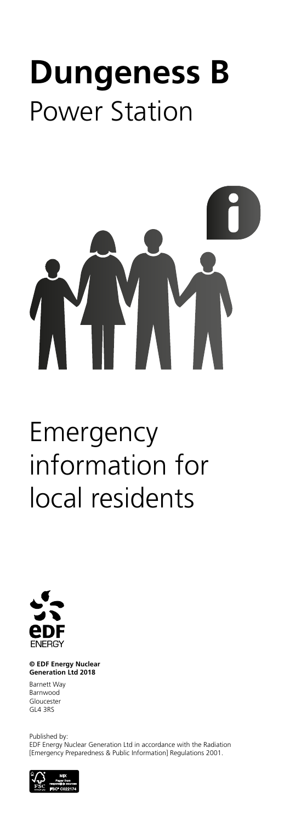# **Dungeness B** Power Station

#### **© EDF Energy Nuclear Generation Ltd 2018**

Barnett Way Barnwood Gloucester GL4 3RS

Published by:

EDF Energy Nuclear Generation Ltd in accordance with the Radiation [Emergency Preparedness & Public Information] Regulations 2001.



Emergency information for local residents

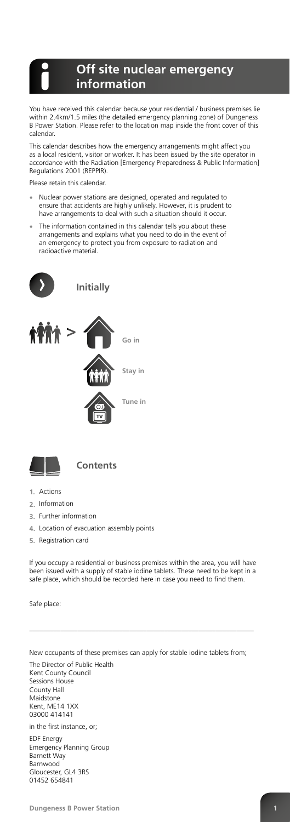You have received this calendar because your residential / business premises lie within 2.4km/1.5 miles (the detailed emergency planning zone) of Dungeness B Power Station. Please refer to the location map inside the front cover of this calendar.

This calendar describes how the emergency arrangements might affect you as a local resident, visitor or worker. It has been issued by the site operator in accordance with the Radiation [Emergency Preparedness & Public Information] Regulations 2001 (REPPIR).

Please retain this calendar.

- **•** Nuclear power stations are designed, operated and regulated to ensure that accidents are highly unlikely. However, it is prudent to have arrangements to deal with such a situation should it occur.
- **•** The information contained in this calendar tells you about these arrangements and explains what you need to do in the event of an emergency to protect you from exposure to radiation and radioactive material.



- **1.** Actions
- **2.** Information
- **3.** Further information
- **4.** Location of evacuation assembly points
- **5.** Registration card

If you occupy a residential or business premises within the area, you will have been issued with a supply of stable iodine tablets. These need to be kept in a safe place, which should be recorded here in case you need to find them.

\_\_\_\_\_\_\_\_\_\_\_\_\_\_\_\_\_\_\_\_\_\_\_\_\_\_\_\_\_\_\_\_\_\_\_\_\_\_\_\_\_\_\_\_\_\_\_\_\_\_\_\_\_\_\_\_\_\_\_\_\_\_\_\_\_

New occupants of these premises can apply for stable iodine tablets from;

The Director of Public Health Kent County Council Sessions House County Hall Maidstone Kent, ME14 1XX 03000 414141

in the first instance, or;

EDF Energy Emergency Planning Group Barnett Way Barnwood Gloucester, GL4 3RS 01452 654841

**Dungeness B Power Station** 

# **Off site nuclear emergency information**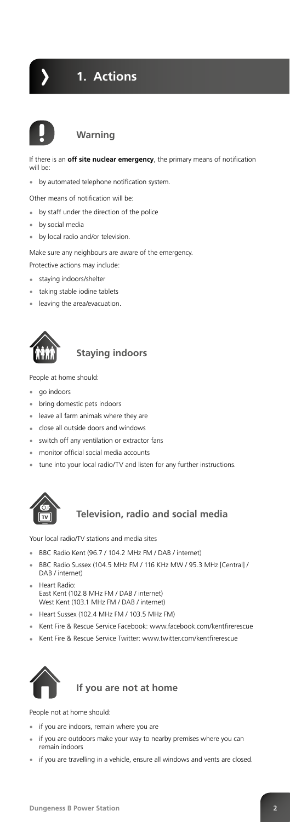

If there is an **off site nuclear emergency**, the primary means of notification will be:

**•** by automated telephone notification system.

Other means of notification will be:

- **•** by staff under the direction of the police
- **•** by social media
- **•** by local radio and/or television.

Make sure any neighbours are aware of the emergency.

Protective actions may include:

- **•** staying indoors/shelter
- **•** taking stable iodine tablets
- **•** leaving the area/evacuation.



#### **Staying indoors**

People at home should:

- **•** go indoors
- **•** bring domestic pets indoors
- **•** leave all farm animals where they are
- **•** close all outside doors and windows
- **•** switch off any ventilation or extractor fans
- **•** monitor official social media accounts
- **•** tune into your local radio/TV and listen for any further instructions.



#### **Television, radio and social media**

Your local radio/TV stations and media sites

- **•** BBC Radio Kent (96.7 / 104.2 MHz FM / DAB / internet)
- **•** BBC Radio Sussex (104.5 MHz FM / 116 KHz MW / 95.3 MHz [Central] / DAB / internet)
- **•** Heart Radio: East Kent (102.8 MHz FM / DAB / internet) West Kent (103.1 MHz FM / DAB / internet)
- **•** Heart Sussex (102.4 MHz FM / 103.5 MHz FM)
- **•** Kent Fire & Rescue Service Facebook: www.facebook.com/kentfirerescue
- **•** Kent Fire & Rescue Service Twitter: www.twitter.com/kentfirerescue



People not at home should:

- **•** if you are indoors, remain where you are
- **•** if you are outdoors make your way to nearby premises where you can remain indoors
- **•** if you are travelling in a vehicle, ensure all windows and vents are closed.



# **1. Actions**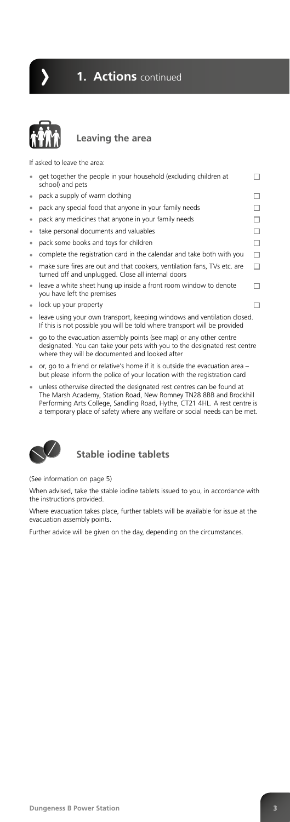**Leaving the area**

If asked to leave the area:

| $\bullet$ | get together the people in your household (excluding children at<br>school) and pets                                                                 |  |
|-----------|------------------------------------------------------------------------------------------------------------------------------------------------------|--|
| $\bullet$ | pack a supply of warm clothing                                                                                                                       |  |
| $\bullet$ | pack any special food that anyone in your family needs                                                                                               |  |
| $\bullet$ | pack any medicines that anyone in your family needs                                                                                                  |  |
| $\bullet$ | take personal documents and valuables                                                                                                                |  |
| $\bullet$ | pack some books and toys for children                                                                                                                |  |
| $\bullet$ | complete the registration card in the calendar and take both with you                                                                                |  |
| $\bullet$ | make sure fires are out and that cookers, ventilation fans, TVs etc. are<br>turned off and unplugged. Close all internal doors                       |  |
| $\bullet$ | leave a white sheet hung up inside a front room window to denote<br>you have left the premises                                                       |  |
| $\bullet$ | lock up your property                                                                                                                                |  |
| $\bullet$ | leave using your own transport, keeping windows and ventilation closed.<br>If this is not possible you will be told where transport will be provided |  |

- **•** go to the evacuation assembly points (see map) or any other centre designated. You can take your pets with you to the designated rest centre where they will be documented and looked after
- **•** or, go to a friend or relative's home if it is outside the evacuation area but please inform the police of your location with the registration card
- **•** unless otherwise directed the designated rest centres can be found at The Marsh Academy, Station Road, New Romney TN28 8BB and Brockhill Performing Arts College, Sandling Road, Hythe, CT21 4HL. A rest centre is a temporary place of safety where any welfare or social needs can be met.



**Stable iodine tablets**

(See information on page 5)

When advised, take the stable iodine tablets issued to you, in accordance with the instructions provided.

Where evacuation takes place, further tablets will be available for issue at the evacuation assembly points.

Further advice will be given on the day, depending on the circumstances.

**Dungeness B Power Station 3** 



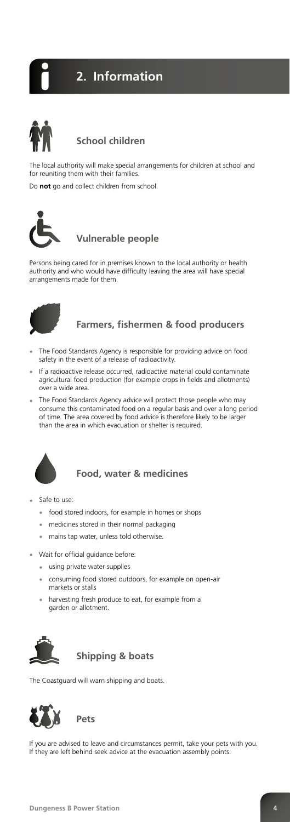# **School children**

The local authority will make special arrangements for children at school and for reuniting them with their families.

Do **not** go and collect children from school.



### **Vulnerable people**

Persons being cared for in premises known to the local authority or health authority and who would have difficulty leaving the area will have special arrangements made for them.



#### **Farmers, fishermen & food producers**

- **•** The Food Standards Agency is responsible for providing advice on food safety in the event of a release of radioactivity.
- **•** If a radioactive release occurred, radioactive material could contaminate agricultural food production (for example crops in fields and allotments) over a wide area.
- **•** The Food Standards Agency advice will protect those people who may consume this contaminated food on a regular basis and over a long period of time. The area covered by food advice is therefore likely to be larger than the area in which evacuation or shelter is required.



### **Food, water & medicines**

- **•** Safe to use:
	- **•** food stored indoors, for example in homes or shops
	- **•** medicines stored in their normal packaging
	- **•** mains tap water, unless told otherwise.
- **•** Wait for official guidance before:
	- **•** using private water supplies
	- **•** consuming food stored outdoors, for example on open-air markets or stalls
	- **•** harvesting fresh produce to eat, for example from a garden or allotment.



The Coastguard will warn shipping and boats.



If you are advised to leave and circumstances permit, take your pets with you. If they are left behind seek advice at the evacuation assembly points.



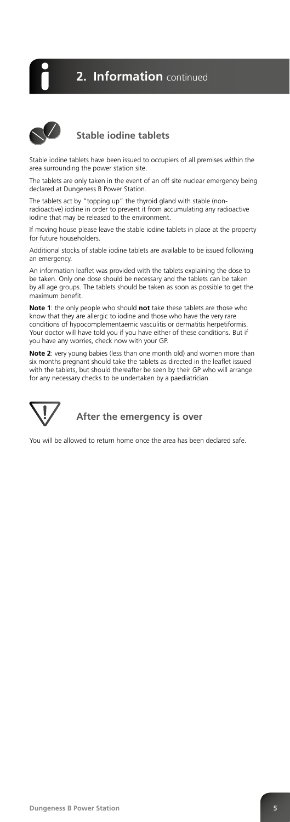# **Stable iodine tablets**

Stable iodine tablets have been issued to occupiers of all premises within the area surrounding the power station site.

The tablets are only taken in the event of an off site nuclear emergency being declared at Dungeness B Power Station.

The tablets act by "topping up" the thyroid gland with stable (nonradioactive) iodine in order to prevent it from accumulating any radioactive iodine that may be released to the environment.

If moving house please leave the stable iodine tablets in place at the property for future householders.

Additional stocks of stable iodine tablets are available to be issued following an emergency.

An information leaflet was provided with the tablets explaining the dose to be taken. Only one dose should be necessary and the tablets can be taken by all age groups. The tablets should be taken as soon as possible to get the maximum benefit.

**Note 1**: the only people who should **not** take these tablets are those who know that they are allergic to iodine and those who have the very rare conditions of hypocomplementaemic vasculitis or dermatitis herpetiformis. Your doctor will have told you if you have either of these conditions. But if you have any worries, check now with your GP.

**Note 2**: very young babies (less than one month old) and women more than six months pregnant should take the tablets as directed in the leaflet issued with the tablets, but should thereafter be seen by their GP who will arrange for any necessary checks to be undertaken by a paediatrician.



**After the emergency is over**

You will be allowed to return home once the area has been declared safe.

**Dungeness B Power Station 5** 

**2. Information** continued

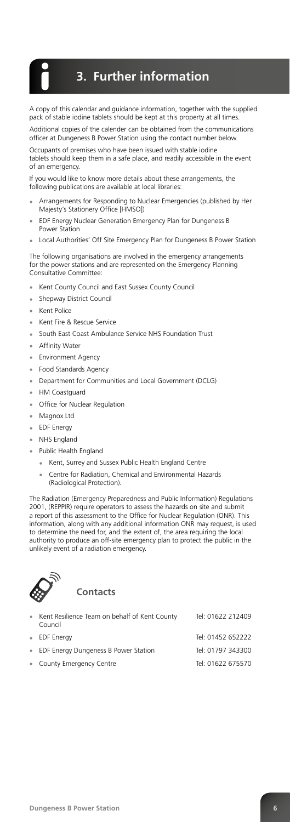A copy of this calendar and guidance information, together with the supplied pack of stable iodine tablets should be kept at this property at all times.

Additional copies of the calender can be obtained from the communications officer at Dungeness B Power Station using the contact number below.

Occupants of premises who have been issued with stable iodine tablets should keep them in a safe place, and readily accessible in the event of an emergency.

If you would like to know more details about these arrangements, the following publications are available at local libraries:

- **•** Arrangements for Responding to Nuclear Emergencies (published by Her Majesty's Stationery Office [HMSO])
- **•** EDF Energy Nuclear Generation Emergency Plan for Dungeness B Power Station
- **•** Local Authorities' Off Site Emergency Plan for Dungeness B Power Station

The following organisations are involved in the emergency arrangements for the power stations and are represented on the Emergency Planning Consultative Committee:

- **•** Kent County Council and East Sussex County Council
- **•** Shepway District Council
- **•** Kent Police
- **•** Kent Fire & Rescue Service
- **•** South East Coast Ambulance Service NHS Foundation Trust
- **•** Affinity Water
- **•** Environment Agency
- **•** Food Standards Agency
- **•** Department for Communities and Local Government (DCLG)
- **•** HM Coastguard
- **•** Office for Nuclear Regulation
- **•** Magnox Ltd
- **•** EDF Energy
- **•** NHS England
- **•** Public Health England
	- **•** Kent, Surrey and Sussex Public Health England Centre
	- **•** Centre for Radiation, Chemical and Environmental Hazards (Radiological Protection).

The Radiation (Emergency Preparedness and Public Information) Regulations 2001, (REPPIR) require operators to assess the hazards on site and submit a report of this assessment to the Office for Nuclear Regulation (ONR). This information, along with any additional information ONR may request, is used to determine the need for, and the extent of, the area requiring the local authority to produce an off-site emergency plan to protect the public in the unlikely event of a radiation emergency.



#### Council

- 
- EDF Energy Dungeness B Power Station Tel: 01797 343300
- **•** County Emergency Centre Tel: 01622 675570

**•** EDF Energy Tel: 01452 652222

# **3. Further information**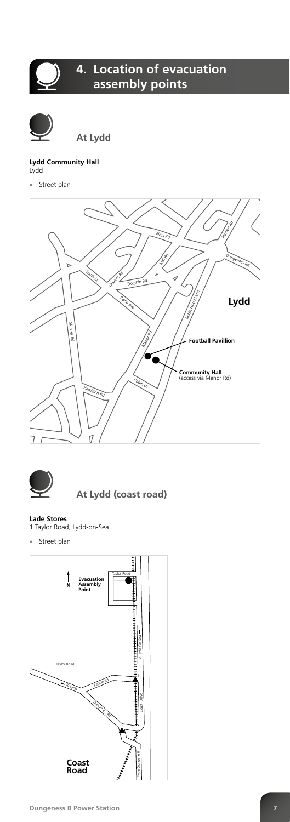**At Lydd**

#### **Lydd Community Hall** Lydd

**•** Street plan







#### **Lade Stores**

1 Taylor Road, Lydd-on-Sea

**•** Street plan



#### **Dungeness B Power Station 1988 7**